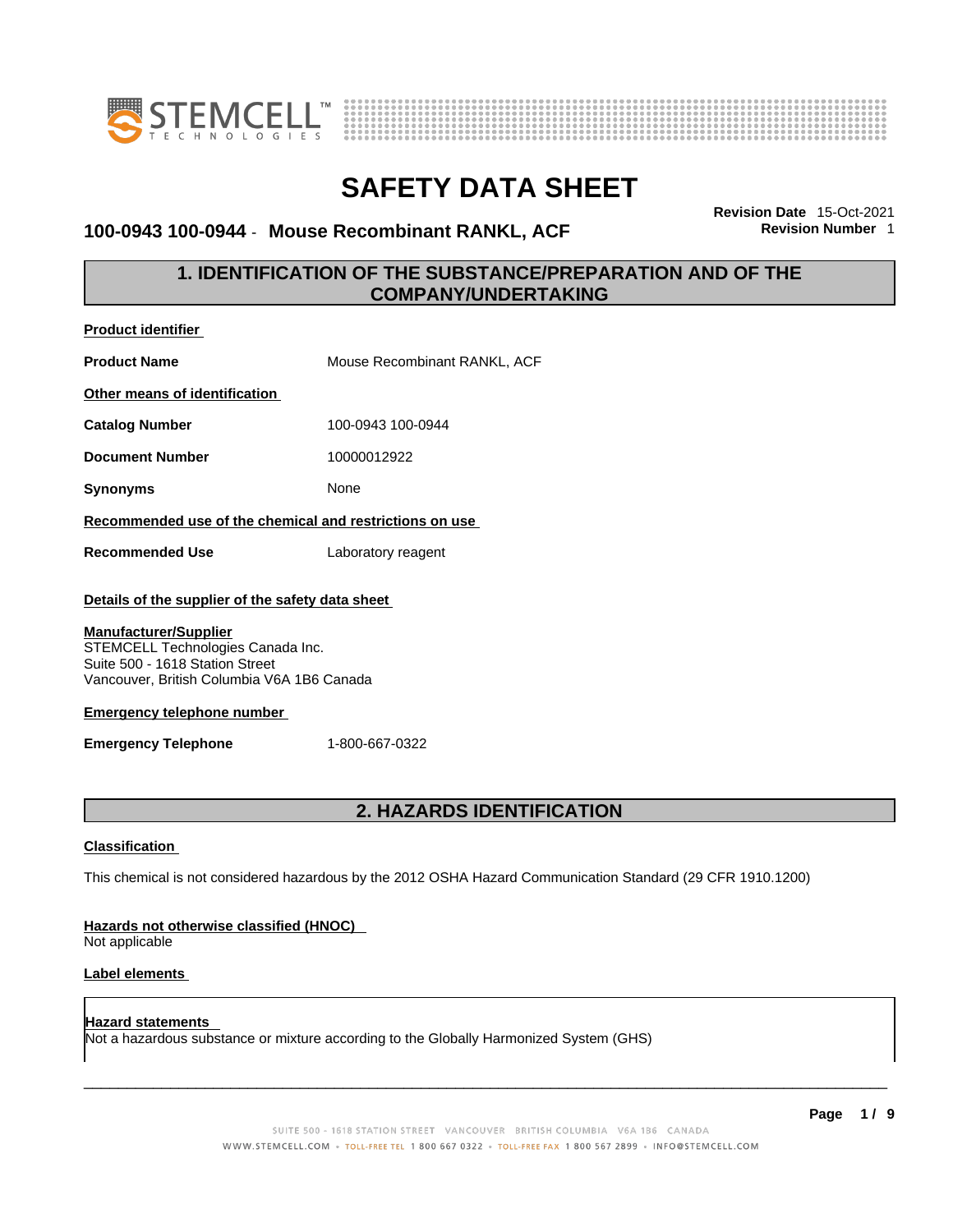

**Product identifier**



# **SAFETY DATA SHEET**

### **100-0943 100-0944** - **Mouse Recombinant RANKL, ACF Revision Number** 1

**Revision Date** 15-Oct-2021

### **1. IDENTIFICATION OF THE SUBSTANCE/PREPARATION AND OF THE COMPANY/UNDERTAKING**

| <b>Classification</b>                                                                                                                              |                                  |
|----------------------------------------------------------------------------------------------------------------------------------------------------|----------------------------------|
|                                                                                                                                                    | <b>2. HAZARDS IDENTIFICATION</b> |
| <b>Emergency Telephone</b>                                                                                                                         | 1-800-667-0322                   |
| <b>Emergency telephone number</b>                                                                                                                  |                                  |
| <b>Manufacturer/Supplier</b><br>STEMCELL Technologies Canada Inc.<br>Suite 500 - 1618 Station Street<br>Vancouver, British Columbia V6A 1B6 Canada |                                  |
| Details of the supplier of the safety data sheet                                                                                                   |                                  |
| <b>Recommended Use</b>                                                                                                                             | Laboratory reagent               |
| Recommended use of the chemical and restrictions on use                                                                                            |                                  |
| <b>Synonyms</b>                                                                                                                                    | None                             |
| <b>Document Number</b>                                                                                                                             | 10000012922                      |
| <b>Catalog Number</b>                                                                                                                              | 100-0943 100-0944                |
| Other means of identification                                                                                                                      |                                  |
| <b>Product Name</b>                                                                                                                                | Mouse Recombinant RANKL, ACF     |
| <b>Product identifier</b>                                                                                                                          |                                  |

### This chemical is not considered hazardous by the 2012 OSHA Hazard Communication Standard (29 CFR 1910.1200)

### **Hazards not otherwise classified (HNOC)**

Not applicable

### **Label elements**

**Hazard statements**  Not a hazardous substance or mixture according to the Globally Harmonized System (GHS)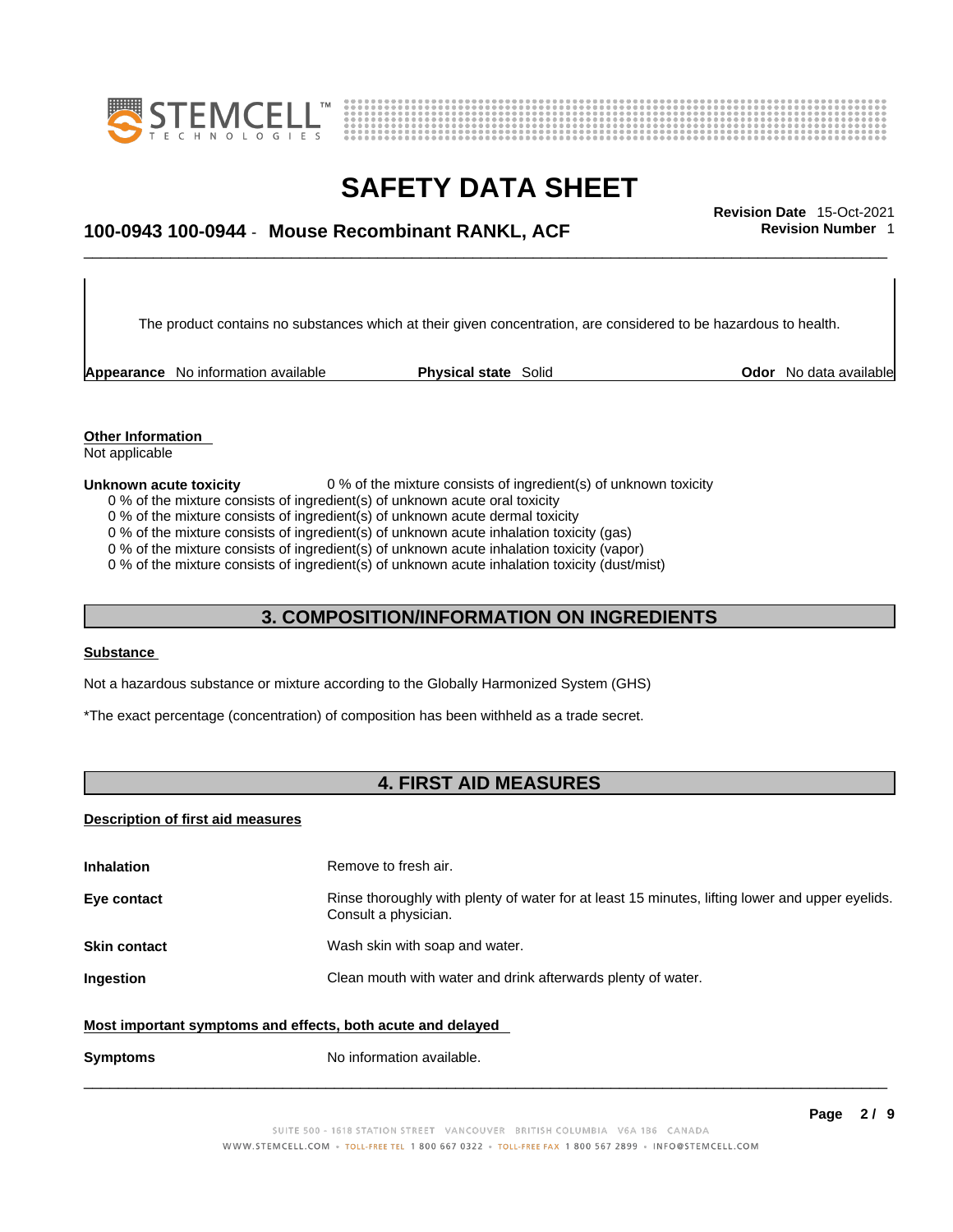



## \_\_\_\_\_\_\_\_\_\_\_\_\_\_\_\_\_\_\_\_\_\_\_\_\_\_\_\_\_\_\_\_\_\_\_\_\_\_\_\_\_\_\_\_\_\_\_\_\_\_\_\_\_\_\_\_\_\_\_\_\_\_\_\_\_\_\_\_\_\_\_\_\_\_\_\_\_\_\_\_\_\_\_\_\_\_\_\_\_\_\_\_\_ **Revision Date** 15-Oct-2021 **100-0943 100-0944** - **Mouse Recombinant RANKL, ACF Revision Number** 1

The product contains no substances which at their given concentration, are considered to be hazardous to health.

**Appearance** No information available **Physical state** Solid **Odor** No data available

**Other Information**  Not applicable

#### **Unknown acute toxicity** 0 % of the mixture consists of ingredient(s) of unknown toxicity

- 0 % of the mixture consists of ingredient(s) of unknown acute oral toxicity
- 0 % of the mixture consists of ingredient(s) of unknown acute dermal toxicity
- 0 % of the mixture consists of ingredient(s) of unknown acute inhalation toxicity (gas)
- 0 % of the mixture consists of ingredient(s) of unknown acute inhalation toxicity (vapor)

0 % of the mixture consists of ingredient(s) of unknown acute inhalation toxicity (dust/mist)

### **3. COMPOSITION/INFORMATION ON INGREDIENTS**

### **Substance**

Not a hazardous substance or mixture according to the Globally Harmonized System (GHS)

\*The exact percentage (concentration) of composition has been withheld as a trade secret.

### **4. FIRST AID MEASURES**

#### **Description of first aid measures**

| <b>Inhalation</b>                                                                                           | Remove to fresh air.                                                                                                    |  |
|-------------------------------------------------------------------------------------------------------------|-------------------------------------------------------------------------------------------------------------------------|--|
| Eye contact                                                                                                 | Rinse thoroughly with plenty of water for at least 15 minutes, lifting lower and upper eyelids.<br>Consult a physician. |  |
| <b>Skin contact</b>                                                                                         | Wash skin with soap and water.                                                                                          |  |
| Ingestion                                                                                                   | Clean mouth with water and drink afterwards plenty of water.                                                            |  |
| Most important symptoms and effects, both acute and delayed<br>No information available.<br><b>Symptoms</b> |                                                                                                                         |  |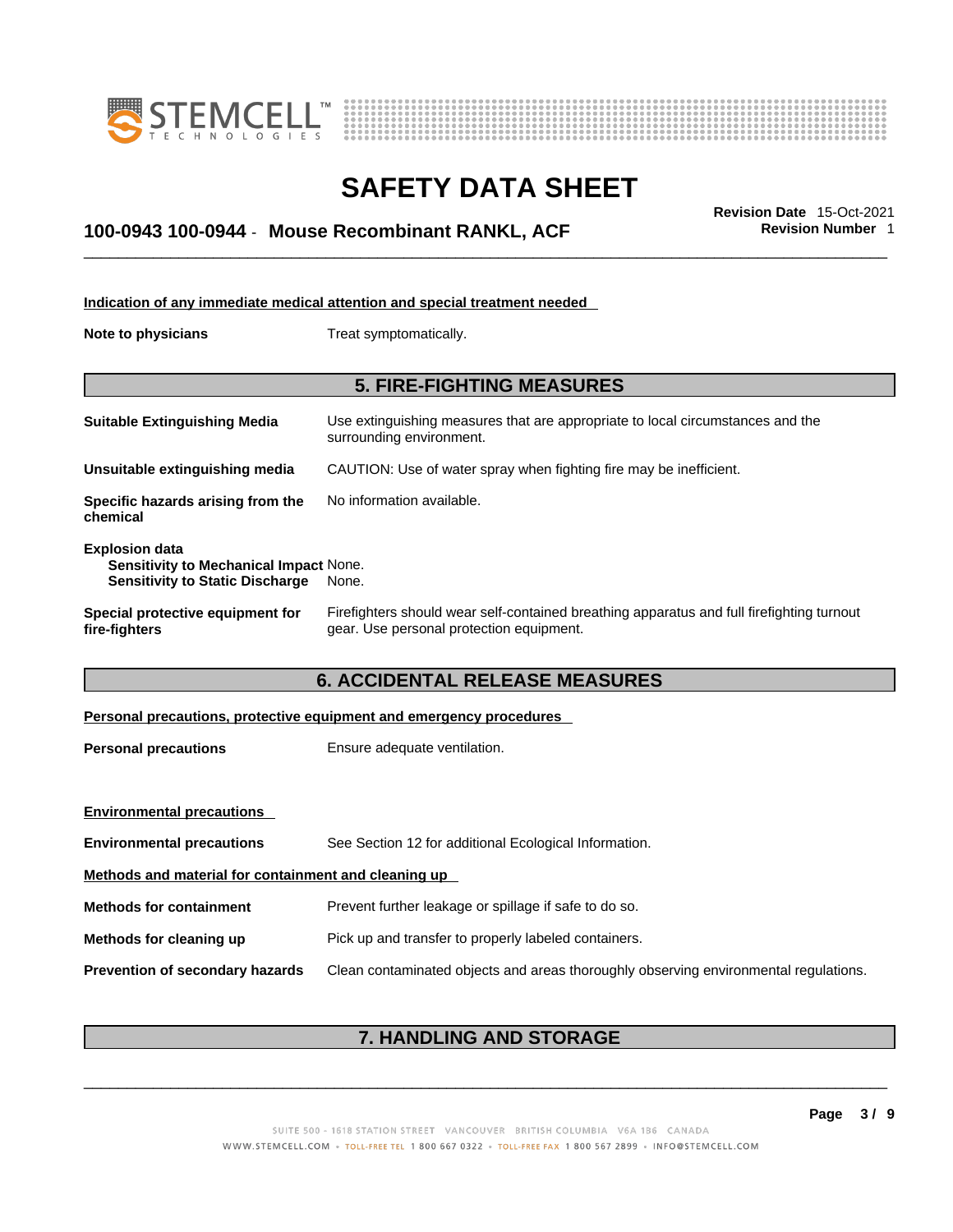



## \_\_\_\_\_\_\_\_\_\_\_\_\_\_\_\_\_\_\_\_\_\_\_\_\_\_\_\_\_\_\_\_\_\_\_\_\_\_\_\_\_\_\_\_\_\_\_\_\_\_\_\_\_\_\_\_\_\_\_\_\_\_\_\_\_\_\_\_\_\_\_\_\_\_\_\_\_\_\_\_\_\_\_\_\_\_\_\_\_\_\_\_\_ **Revision Date** 15-Oct-2021 **100-0943 100-0944** - **Mouse Recombinant RANKL, ACF Revision Number** 1

|                                                                                                           | Indication of any immediate medical attention and special treatment needed                                                            |
|-----------------------------------------------------------------------------------------------------------|---------------------------------------------------------------------------------------------------------------------------------------|
| Note to physicians                                                                                        | Treat symptomatically.                                                                                                                |
|                                                                                                           | <b>5. FIRE-FIGHTING MEASURES</b>                                                                                                      |
| <b>Suitable Extinguishing Media</b>                                                                       | Use extinguishing measures that are appropriate to local circumstances and the<br>surrounding environment.                            |
| Unsuitable extinguishing media                                                                            | CAUTION: Use of water spray when fighting fire may be inefficient.                                                                    |
| Specific hazards arising from the<br>chemical                                                             | No information available.                                                                                                             |
| <b>Explosion data</b><br>Sensitivity to Mechanical Impact None.<br><b>Sensitivity to Static Discharge</b> | None.                                                                                                                                 |
| Special protective equipment for<br>fire-fighters                                                         | Firefighters should wear self-contained breathing apparatus and full firefighting turnout<br>gear. Use personal protection equipment. |
|                                                                                                           | <b>6. ACCIDENTAL RELEASE MEASURES</b>                                                                                                 |
|                                                                                                           | Personal precautions, protective equipment and emergency procedures                                                                   |
| <b>Personal precautions</b>                                                                               | Ensure adequate ventilation.                                                                                                          |
| <b>Environmental precautions</b>                                                                          |                                                                                                                                       |
| <b>Environmental precautions</b>                                                                          | See Section 12 for additional Ecological Information.                                                                                 |
| Methods and material for containment and cleaning up                                                      |                                                                                                                                       |

**Methods for containment** Prevent further leakage or spillage if safe to do so.

### **Methods for cleaning up** Pick up and transfer to properly labeled containers.

**Prevention of secondary hazards** Clean contaminated objects and areas thoroughly observing environmental regulations.

### **7. HANDLING AND STORAGE**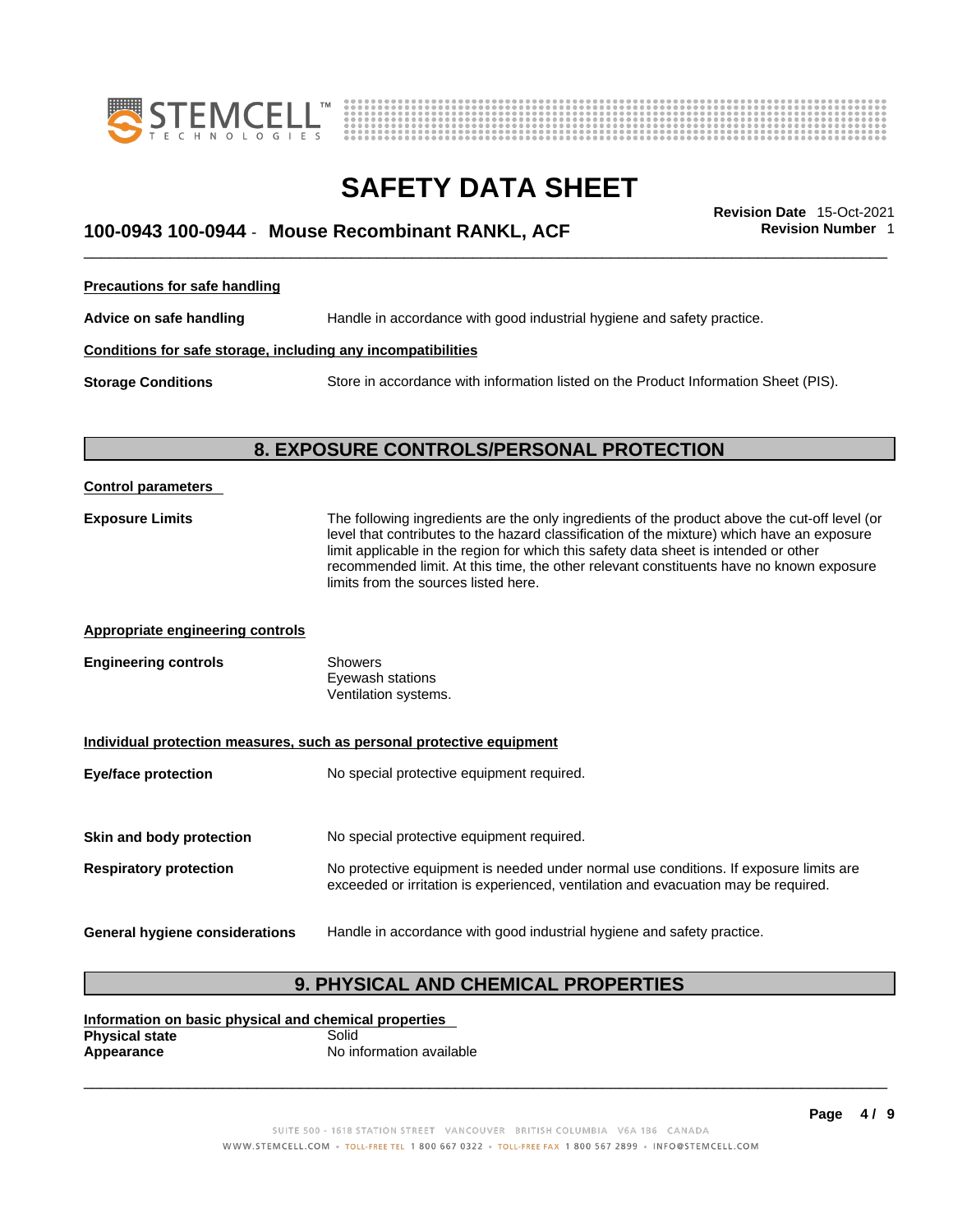



## \_\_\_\_\_\_\_\_\_\_\_\_\_\_\_\_\_\_\_\_\_\_\_\_\_\_\_\_\_\_\_\_\_\_\_\_\_\_\_\_\_\_\_\_\_\_\_\_\_\_\_\_\_\_\_\_\_\_\_\_\_\_\_\_\_\_\_\_\_\_\_\_\_\_\_\_\_\_\_\_\_\_\_\_\_\_\_\_\_\_\_\_\_ **Revision Date** 15-Oct-2021 **100-0943 100-0944** - **Mouse Recombinant RANKL, ACF Revision Number** 1

**Precautions for safe handling**

**Advice on safe handling** Handle in accordance with good industrial hygiene and safety practice.

### **Conditions for safe storage, including any incompatibilities**

**Storage Conditions** Store in accordance with information listed on the Product Information Sheet (PIS).

### **8. EXPOSURE CONTROLS/PERSONAL PROTECTION**

| <b>Control parameters</b>                                             |                                                                                                                                                                                                                                                                                                                                                                                                                        |  |  |  |
|-----------------------------------------------------------------------|------------------------------------------------------------------------------------------------------------------------------------------------------------------------------------------------------------------------------------------------------------------------------------------------------------------------------------------------------------------------------------------------------------------------|--|--|--|
| <b>Exposure Limits</b>                                                | The following ingredients are the only ingredients of the product above the cut-off level (or<br>level that contributes to the hazard classification of the mixture) which have an exposure<br>limit applicable in the region for which this safety data sheet is intended or other<br>recommended limit. At this time, the other relevant constituents have no known exposure<br>limits from the sources listed here. |  |  |  |
| <b>Appropriate engineering controls</b>                               |                                                                                                                                                                                                                                                                                                                                                                                                                        |  |  |  |
| <b>Engineering controls</b>                                           | <b>Showers</b><br>Eyewash stations<br>Ventilation systems.                                                                                                                                                                                                                                                                                                                                                             |  |  |  |
| Individual protection measures, such as personal protective equipment |                                                                                                                                                                                                                                                                                                                                                                                                                        |  |  |  |
| <b>Eye/face protection</b>                                            | No special protective equipment required.                                                                                                                                                                                                                                                                                                                                                                              |  |  |  |
| Skin and body protection                                              | No special protective equipment required.                                                                                                                                                                                                                                                                                                                                                                              |  |  |  |
| <b>Respiratory protection</b>                                         | No protective equipment is needed under normal use conditions. If exposure limits are<br>exceeded or irritation is experienced, ventilation and evacuation may be required.                                                                                                                                                                                                                                            |  |  |  |
| General hygiene considerations                                        | Handle in accordance with good industrial hygiene and safety practice.                                                                                                                                                                                                                                                                                                                                                 |  |  |  |
|                                                                       |                                                                                                                                                                                                                                                                                                                                                                                                                        |  |  |  |

### **9. PHYSICAL AND CHEMICAL PROPERTIES**

**Information on basic physical and chemical properties Physical state**<br>Appearance **Appearance** No information available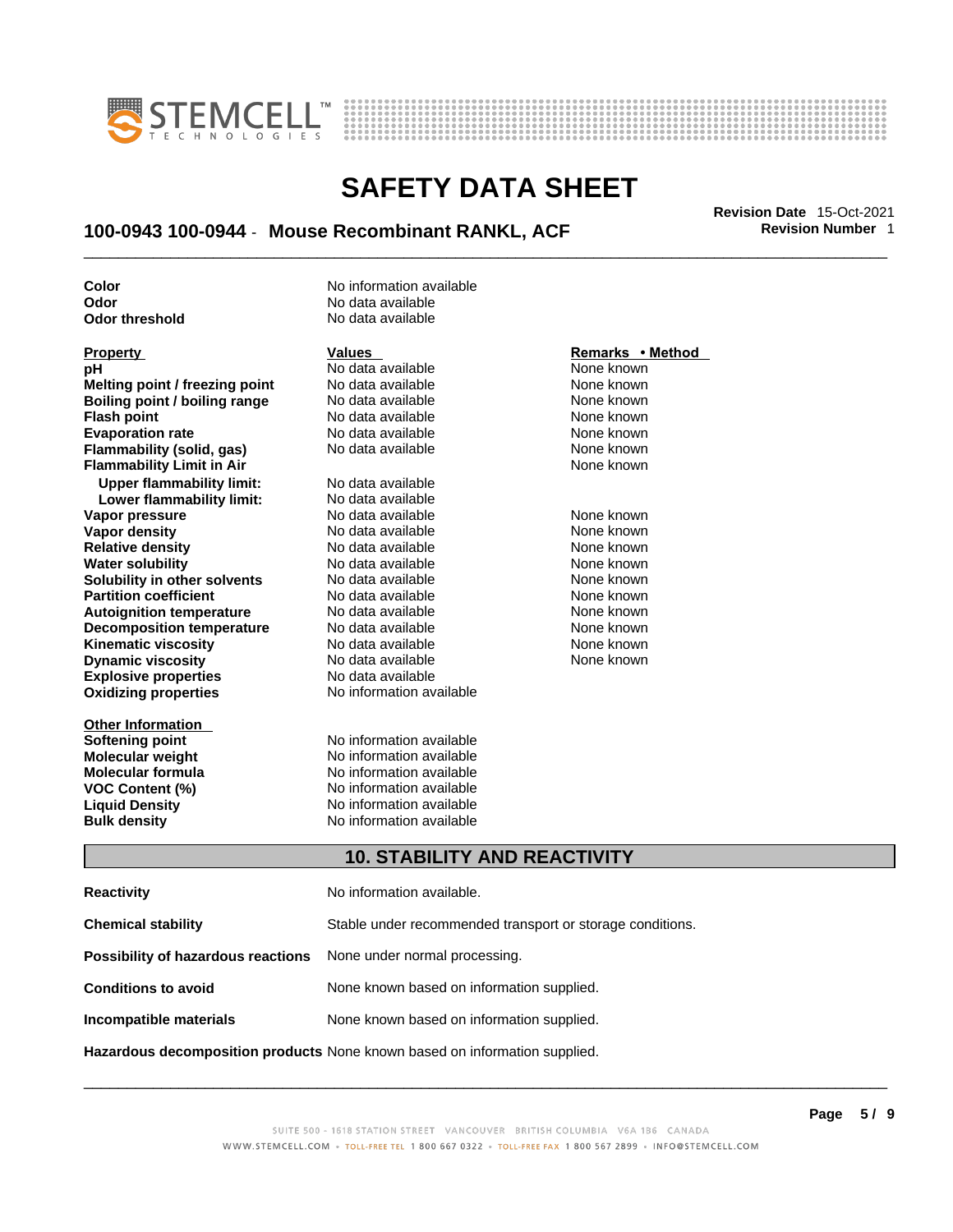



## \_\_\_\_\_\_\_\_\_\_\_\_\_\_\_\_\_\_\_\_\_\_\_\_\_\_\_\_\_\_\_\_\_\_\_\_\_\_\_\_\_\_\_\_\_\_\_\_\_\_\_\_\_\_\_\_\_\_\_\_\_\_\_\_\_\_\_\_\_\_\_\_\_\_\_\_\_\_\_\_\_\_\_\_\_\_\_\_\_\_\_\_\_ **Revision Date** 15-Oct-2021 **100-0943 100-0944** - **Mouse Recombinant RANKL, ACF Revision Number** 1

**Odor No data available**<br> **Odor threshold No data available Odor** threshold

**Explosive properties** No data available<br> **Oxidizing properties** No information available **pH** No data available None known **Melting point / freezing point** No data available None known<br> **Boiling point / boiling range** No data available None known **Boiling point / boiling range** No data available None known<br> **Flash noint** None known<br>
No data available None Known **Flash point**<br> **Flash point**<br> **Fvanoration rate** None Known<br>
No data available None Known<br>
None known **Evaporation rate Flammability (solid, gas)** No data available None Known None known **Flammability Limit in Air None known None known Upper flammability limit:** No data available **Lower flammability limit:** No data available **Vapor pressure** The Society No data available and the None known<br> **Vapor density** No data available None known **Vapor density** No data available None known **Relative density 1988 Control and Social Article Relative density None known<br>
<b>Water solubility** No data available None known **Water solubility Solubility in other solvents** No data available None known **Partition coefficient No data available None known Autoignition temperature** No data available None known<br> **Decomposition temperature** No data available None known **Decomposition temperature** No data available **None known**<br>
No data available **None known**<br>
None known **Kinematic viscosity** No data available<br> **Dynamic viscosity** No data available **Dynamic viscosity No data available None known** 

**Other Information Softening point**<br> **Molecular weight**<br> **Molecular weight**<br> **Molecular weight**<br> **Molecular weight** 

**Color Color Color No** information available

**Molecular weight Molecular is a structure of the No information available Molecular formula Molecular System Molecular formula** No information available **VOC Content (%)** No information available **Liquid Density** No information available **Bulk density No information available** 

**No information available** 

#### **Property Remarks •** Method **Values Remarks** •**Method**

### **10. STABILITY AND REACTIVITY**

| <b>Reactivity</b>                                                          | No information available.                                 |
|----------------------------------------------------------------------------|-----------------------------------------------------------|
| <b>Chemical stability</b>                                                  | Stable under recommended transport or storage conditions. |
| Possibility of hazardous reactions                                         | None under normal processing.                             |
| <b>Conditions to avoid</b>                                                 | None known based on information supplied.                 |
| Incompatible materials                                                     | None known based on information supplied.                 |
| Hazardous decomposition products None known based on information supplied. |                                                           |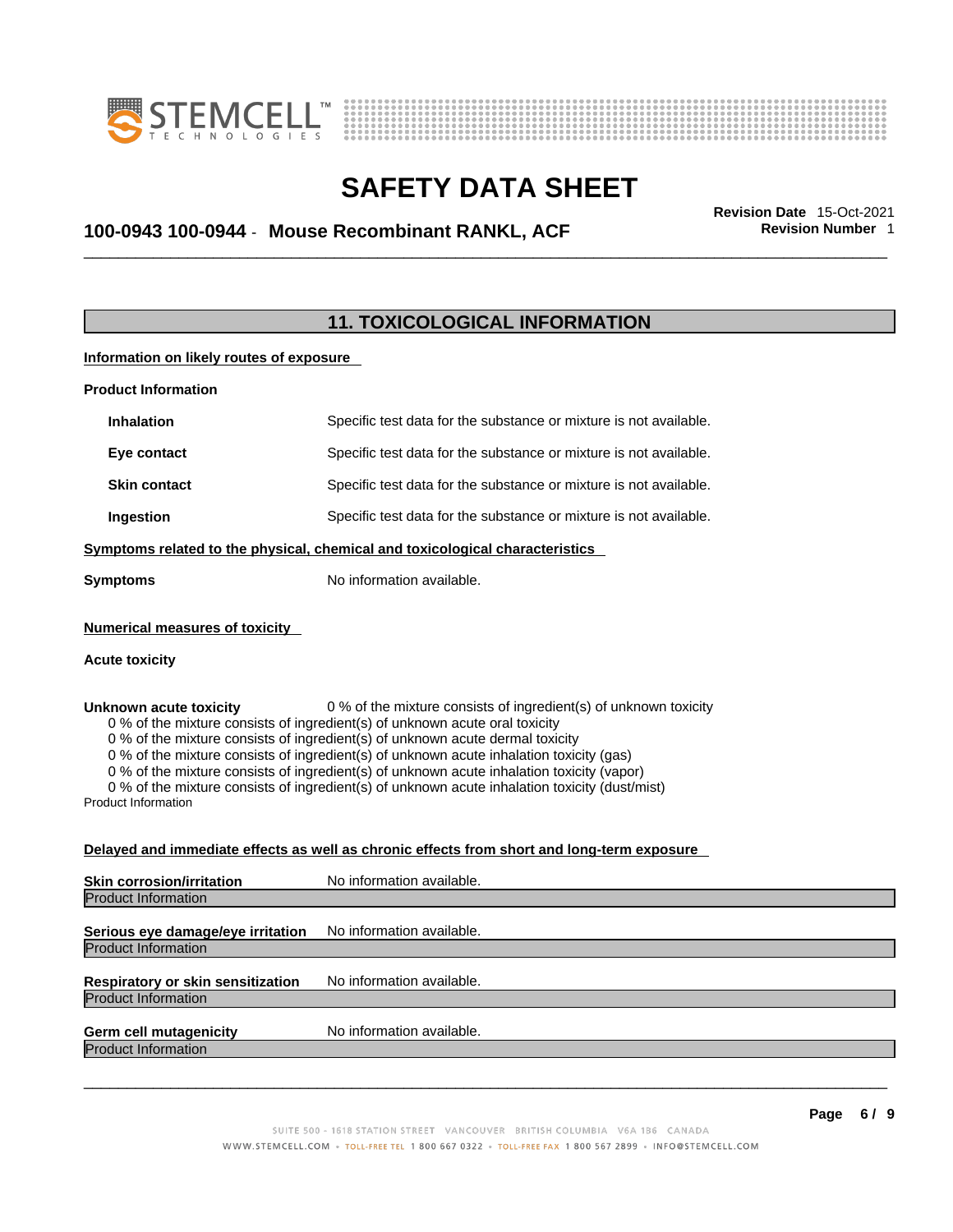



## \_\_\_\_\_\_\_\_\_\_\_\_\_\_\_\_\_\_\_\_\_\_\_\_\_\_\_\_\_\_\_\_\_\_\_\_\_\_\_\_\_\_\_\_\_\_\_\_\_\_\_\_\_\_\_\_\_\_\_\_\_\_\_\_\_\_\_\_\_\_\_\_\_\_\_\_\_\_\_\_\_\_\_\_\_\_\_\_\_\_\_\_\_ **Revision Date** 15-Oct-2021 **100-0943 100-0944** - **Mouse Recombinant RANKL, ACF Revision Number** 1

### **11. TOXICOLOGICAL INFORMATION**

**Information on likely routes of exposure**

| <b>Product Information</b> |                                                                              |
|----------------------------|------------------------------------------------------------------------------|
| <b>Inhalation</b>          | Specific test data for the substance or mixture is not available.            |
| Eye contact                | Specific test data for the substance or mixture is not available.            |
| <b>Skin contact</b>        | Specific test data for the substance or mixture is not available.            |
| Ingestion                  | Specific test data for the substance or mixture is not available.            |
|                            | Cumptama ralatad ta tha phuaisal, shamisal and taviaslagical sharastariatisa |

**Symptoms related to the physical,chemical and toxicological characteristics**

**Symptoms** No information available.

#### **Numerical measures of toxicity**

### **Acute toxicity**

**Unknown acute toxicity** 0 % of the mixture consists of ingredient(s) of unknown toxicity

0 % of the mixture consists of ingredient(s) of unknown acute oral toxicity

0 % of the mixture consists of ingredient(s) of unknown acute dermal toxicity

0 % of the mixture consists of ingredient(s) of unknown acute inhalation toxicity (gas)

0 % of the mixture consists of ingredient(s) of unknown acute inhalation toxicity (vapor)

0 % of the mixture consists of ingredient(s) of unknown acute inhalation toxicity (dust/mist)

Product Information

#### **Delayed and immediate effects as well as chronic effects from short and long-term exposure**

| <b>Skin corrosion/irritation</b>                                       | No information available. |
|------------------------------------------------------------------------|---------------------------|
| <b>Product Information</b>                                             |                           |
| Serious eye damage/eye irritation                                      | No information available. |
| Product Information                                                    |                           |
| <b>Respiratory or skin sensitization</b><br><b>Product Information</b> | No information available. |
| <b>Germ cell mutagenicity</b><br><b>Product Information</b>            | No information available. |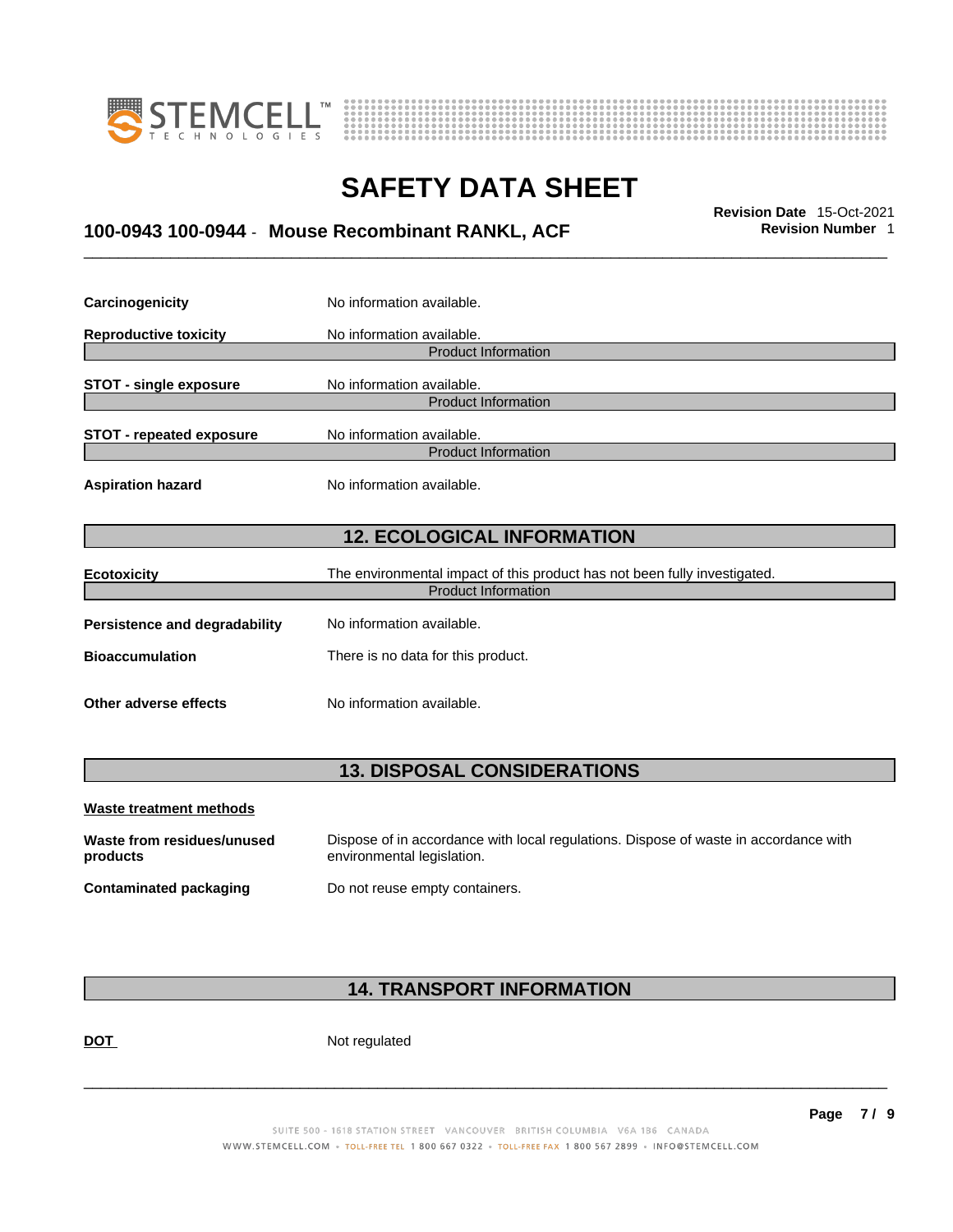



## \_\_\_\_\_\_\_\_\_\_\_\_\_\_\_\_\_\_\_\_\_\_\_\_\_\_\_\_\_\_\_\_\_\_\_\_\_\_\_\_\_\_\_\_\_\_\_\_\_\_\_\_\_\_\_\_\_\_\_\_\_\_\_\_\_\_\_\_\_\_\_\_\_\_\_\_\_\_\_\_\_\_\_\_\_\_\_\_\_\_\_\_\_ **Revision Date** 15-Oct-2021 **100-0943 100-0944** - **Mouse Recombinant RANKL, ACF Revision Number** 1

| Carcinogenicity                   | No information available.                                                 |  |  |
|-----------------------------------|---------------------------------------------------------------------------|--|--|
| <b>Reproductive toxicity</b>      | No information available.                                                 |  |  |
|                                   | <b>Product Information</b>                                                |  |  |
| <b>STOT - single exposure</b>     | No information available.                                                 |  |  |
|                                   | <b>Product Information</b>                                                |  |  |
| <b>STOT - repeated exposure</b>   | No information available.                                                 |  |  |
|                                   | <b>Product Information</b>                                                |  |  |
| <b>Aspiration hazard</b>          | No information available.                                                 |  |  |
| <b>12. ECOLOGICAL INFORMATION</b> |                                                                           |  |  |
| <b>Ecotoxicity</b>                | The environmental impact of this product has not been fully investigated. |  |  |
|                                   | <b>Product Information</b>                                                |  |  |
| Persistence and degradability     | No information available.                                                 |  |  |
| <b>Bioaccumulation</b>            | There is no data for this product.                                        |  |  |
| Other adverse effects             | No information available.                                                 |  |  |
|                                   |                                                                           |  |  |

### **13. DISPOSAL CONSIDERATIONS**

| Waste treatment methods                |                                                                                                                    |
|----------------------------------------|--------------------------------------------------------------------------------------------------------------------|
| Waste from residues/unused<br>products | Dispose of in accordance with local regulations. Dispose of waste in accordance with<br>environmental legislation. |
| Contaminated packaging                 | Do not reuse empty containers.                                                                                     |

### **14. TRANSPORT INFORMATION**

DOT Not regulated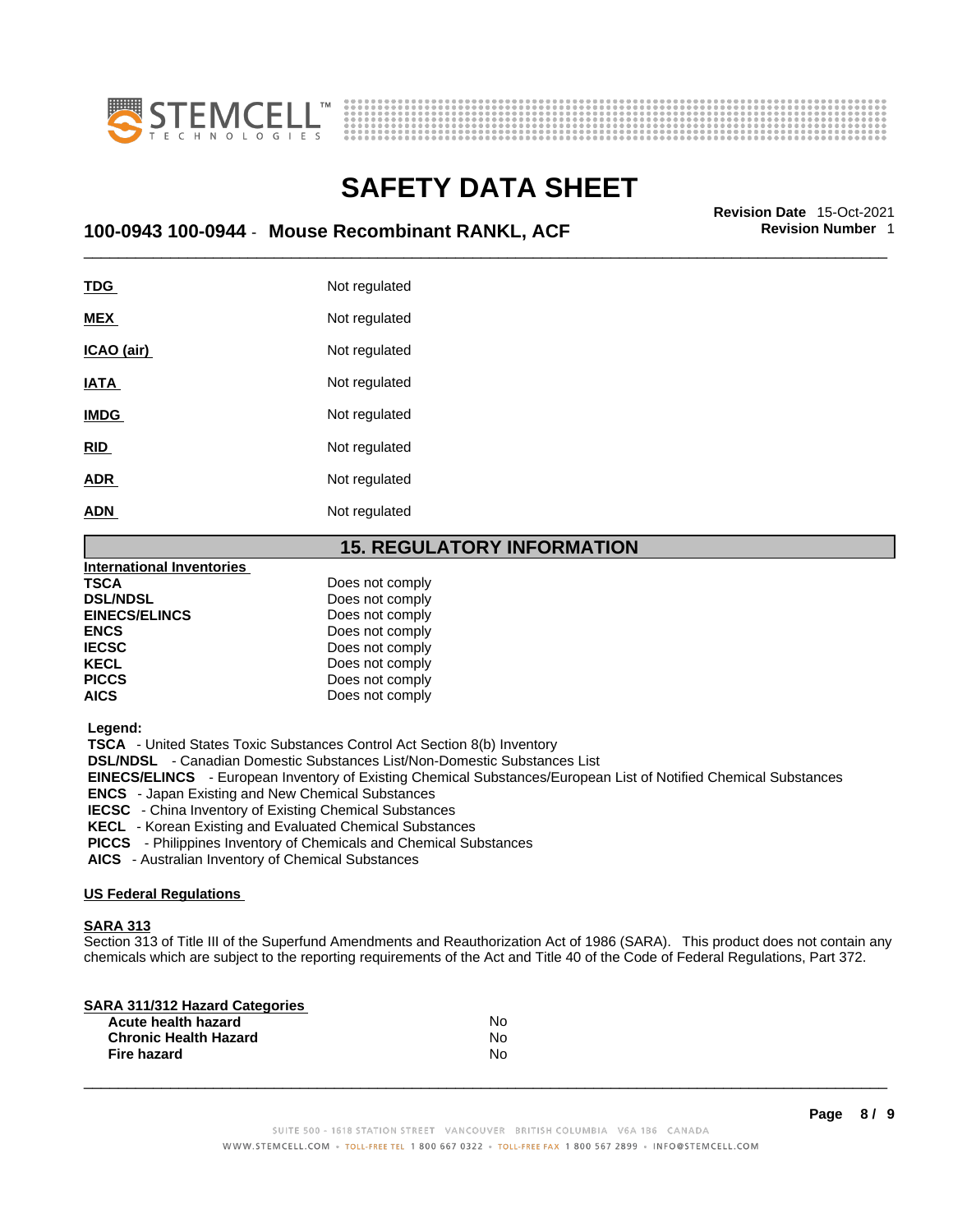



## \_\_\_\_\_\_\_\_\_\_\_\_\_\_\_\_\_\_\_\_\_\_\_\_\_\_\_\_\_\_\_\_\_\_\_\_\_\_\_\_\_\_\_\_\_\_\_\_\_\_\_\_\_\_\_\_\_\_\_\_\_\_\_\_\_\_\_\_\_\_\_\_\_\_\_\_\_\_\_\_\_\_\_\_\_\_\_\_\_\_\_\_\_ **Revision Date** 15-Oct-2021 **100-0943 100-0944** - **Mouse Recombinant RANKL, ACF Revision Number** 1

| <u>TDG</u>  | Not regulated |
|-------------|---------------|
| <b>MEX</b>  | Not regulated |
| ICAO (air)  | Not regulated |
| <b>IATA</b> | Not regulated |
| <b>IMDG</b> | Not regulated |
| <b>RID</b>  | Not regulated |
| <b>ADR</b>  | Not regulated |
| <b>ADN</b>  | Not regulated |
|             |               |

### **15. REGULATORY INFORMATION**

| <b>International Inventories</b> |                 |  |
|----------------------------------|-----------------|--|
| TSCA                             | Does not comply |  |
| <b>DSL/NDSL</b>                  | Does not comply |  |
| <b>EINECS/ELINCS</b>             | Does not comply |  |
| <b>ENCS</b>                      | Does not comply |  |
| <b>IECSC</b>                     | Does not comply |  |
| <b>KECL</b>                      | Does not comply |  |
| <b>PICCS</b>                     | Does not comply |  |
| AICS                             | Does not comply |  |

 **Legend:** 

 **TSCA** - United States Toxic Substances Control Act Section 8(b) Inventory

 **DSL/NDSL** - Canadian Domestic Substances List/Non-Domestic Substances List

 **EINECS/ELINCS** - European Inventory of Existing Chemical Substances/European List of Notified Chemical Substances

 **ENCS** - Japan Existing and New Chemical Substances

 **IECSC** - China Inventory of Existing Chemical Substances

 **KECL** - Korean Existing and Evaluated Chemical Substances

 **PICCS** - Philippines Inventory of Chemicals and Chemical Substances

 **AICS** - Australian Inventory of Chemical Substances

### **US Federal Regulations**

#### **SARA 313**

Section 313 of Title III of the Superfund Amendments and Reauthorization Act of 1986 (SARA). This product does not contain any chemicals which are subject to the reporting requirements of the Act and Title 40 of the Code of Federal Regulations, Part 372.

| N٥ |  |
|----|--|
| N٥ |  |
| N٥ |  |
|    |  |